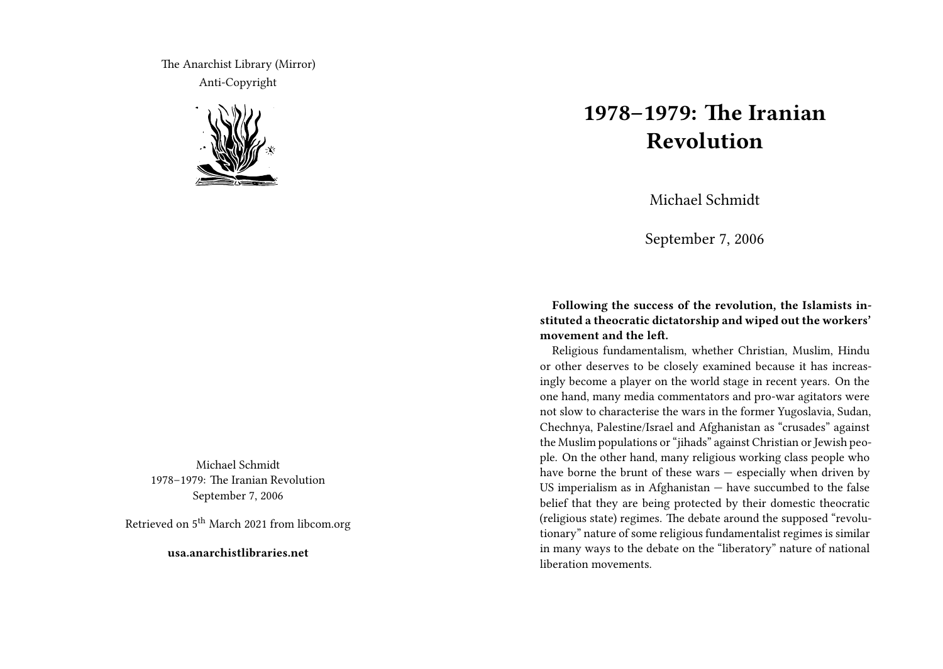The Anarchist Library (Mirror) Anti-Copyright



Michael Schmidt 1978–1979: The Iranian Revolution September 7, 2006

Retrieved on 5<sup>th</sup> March 2021 from libcom.org

**usa.anarchistlibraries.net**

## **1978–1979: The Iranian Revolution**

Michael Schmidt

September 7, 2006

**Following the success of the revolution, the Islamists instituted a theocratic dictatorship and wiped out the workers' movement and the left.**

Religious fundamentalism, whether Christian, Muslim, Hindu or other deserves to be closely examined because it has increasingly become a player on the world stage in recent years. On the one hand, many media commentators and pro-war agitators were not slow to characterise the wars in the former Yugoslavia, Sudan, Chechnya, Palestine/Israel and Afghanistan as "crusades" against the Muslim populations or "jihads" against Christian or Jewish people. On the other hand, many religious working class people who have borne the brunt of these wars — especially when driven by US imperialism as in Afghanistan — have succumbed to the false belief that they are being protected by their domestic theocratic (religious state) regimes. The debate around the supposed "revolutionary" nature of some religious fundamentalist regimes is similar in many ways to the debate on the "liberatory" nature of national liberation movements.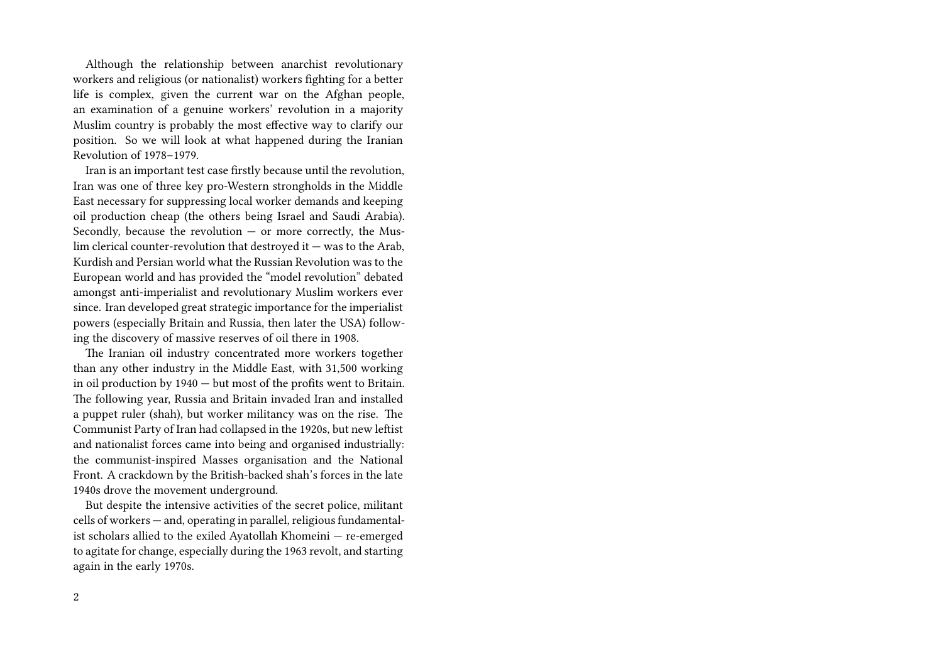Although the relationship between anarchist revolutionary workers and religious (or nationalist) workers fighting for a better life is complex, given the current war on the Afghan people, an examination of a genuine workers' revolution in a majority Muslim country is probably the most effective way to clarify our position. So we will look at what happened during the Iranian Revolution of 1978–1979.

Iran is an important test case firstly because until the revolution, Iran was one of three key pro-Western strongholds in the Middle East necessary for suppressing local worker demands and keeping oil production cheap (the others being Israel and Saudi Arabia). Secondly, because the revolution  $-$  or more correctly, the Mus- $\lim$  clerical counter-revolution that destroyed it  $-$  was to the Arab, Kurdish and Persian world what the Russian Revolution was to the European world and has provided the "model revolution" debated amongst anti-imperialist and revolutionary Muslim workers ever since. Iran developed great strategic importance for the imperialist powers (especially Britain and Russia, then later the USA) following the discovery of massive reserves of oil there in 1908.

The Iranian oil industry concentrated more workers together than any other industry in the Middle East, with 31,500 working in oil production by 1940 — but most of the profits went to Britain. The following year, Russia and Britain invaded Iran and installed a puppet ruler (shah), but worker militancy was on the rise. The Communist Party of Iran had collapsed in the 1920s, but new leftist and nationalist forces came into being and organised industrially: the communist-inspired Masses organisation and the National Front. A crackdown by the British-backed shah's forces in the late 1940s drove the movement underground.

But despite the intensive activities of the secret police, militant cells of workers — and, operating in parallel, religious fundamentalist scholars allied to the exiled Ayatollah Khomeini — re-emerged to agitate for change, especially during the 1963 revolt, and starting again in the early 1970s.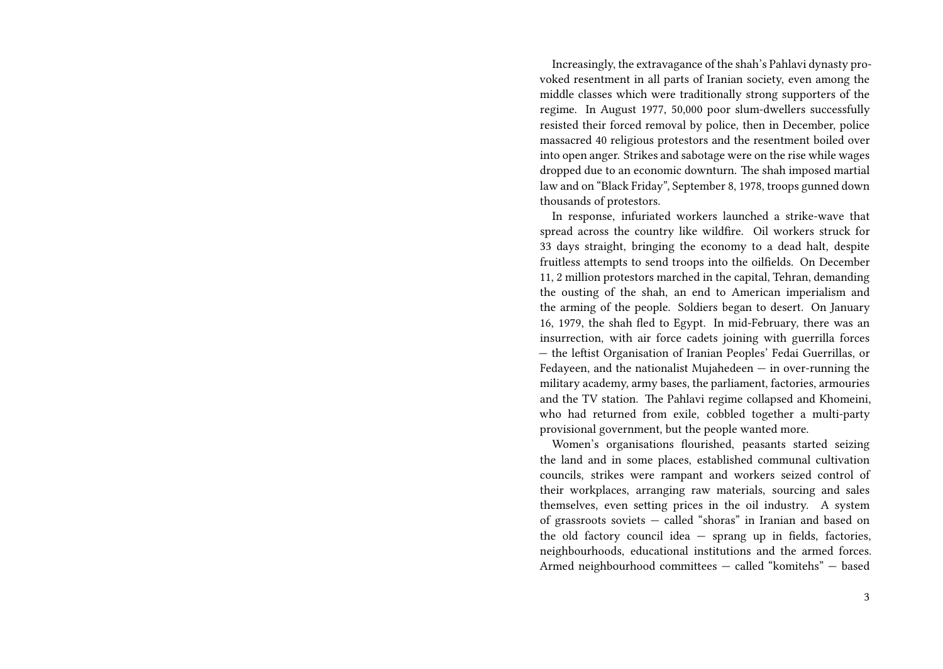Increasingly, the extravagance of the shah's Pahlavi dynasty provoked resentment in all parts of Iranian society, even among the middle classes which were traditionally strong supporters of the regime. In August 1977, 50,000 poor slum-dwellers successfully resisted their forced removal by police, then in December, police massacred 40 religious protestors and the resentment boiled over into open anger. Strikes and sabotage were on the rise while wages dropped due to an economic downturn. The shah imposed martial law and on "Black Friday", September 8, 1978, troops gunned down thousands of protestors.

In response, infuriated workers launched a strike-wave that spread across the country like wildfire. Oil workers struck for 33 days straight, bringing the economy to a dead halt, despite fruitless attempts to send troops into the oilfields. On December 11, 2 million protestors marched in the capital, Tehran, demanding the ousting of the shah, an end to American imperialism and the arming of the people. Soldiers began to desert. On January 16, 1979, the shah fled to Egypt. In mid-February, there was an insurrection, with air force cadets joining with guerrilla forces — the leftist Organisation of Iranian Peoples' Fedai Guerrillas, or Fedayeen, and the nationalist Mujahedeen  $-$  in over-running the military academy, army bases, the parliament, factories, armouries and the TV station. The Pahlavi regime collapsed and Khomeini, who had returned from exile, cobbled together a multi-party provisional government, but the people wanted more.

Women's organisations flourished, peasants started seizing the land and in some places, established communal cultivation councils, strikes were rampant and workers seized control of their workplaces, arranging raw materials, sourcing and sales themselves, even setting prices in the oil industry. A system of grassroots soviets — called "shoras" in Iranian and based on the old factory council idea — sprang up in fields, factories, neighbourhoods, educational institutions and the armed forces. Armed neighbourhood committees — called "komitehs" — based